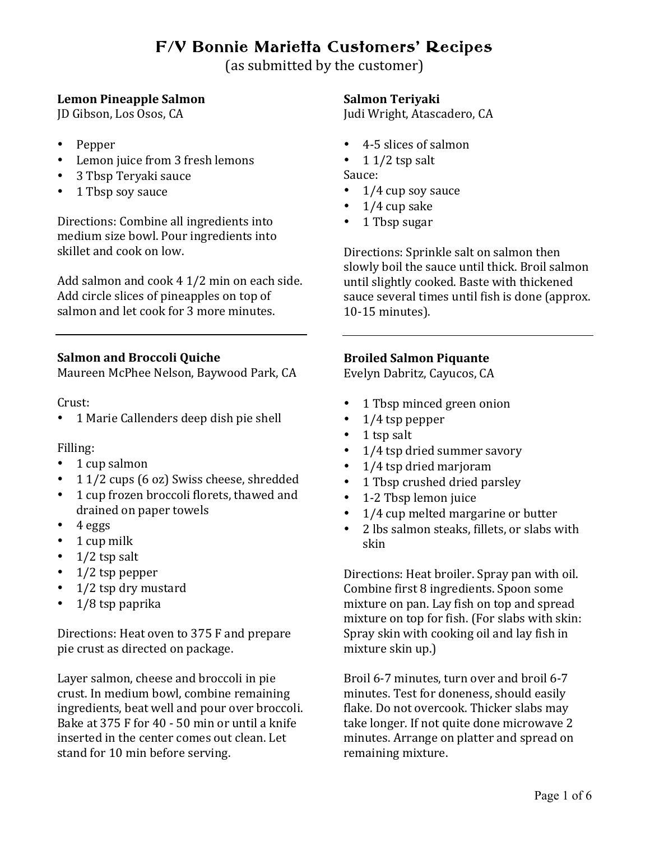# F/V Bonnie Marietta Customers' Recipes

(as submitted by the customer)

# **Lemon Pineapple Salmon**

JD Gibson, Los Osos, CA

- Pepper
- Lemon juice from 3 fresh lemons
- 3 Tbsp Teryaki sauce
- 1 Tbsp soy sauce

Directions: Combine all ingredients into medium size bowl. Pour ingredients into skillet and cook on low.

Add salmon and  $\cosh 4$  1/2 min on each side. Add circle slices of pineapples on top of salmon and let cook for 3 more minutes.

# **Salmon and Broccoli Quiche**

Maureen McPhee Nelson, Baywood Park, CA

Crust: 

• 1 Marie Callenders deep dish pie shell

#### Filling:

- $\cdot$  1 cup salmon
- 1 1/2 cups (6 oz) Swiss cheese, shredded
- 1 cup frozen broccoli florets, thawed and drained on paper towels
- $\bullet$  4 eggs
- 1 cup milk
- $\cdot$  1/2 tsp salt
- $\cdot$  1/2 tsp pepper
- $\cdot$  1/2 tsp dry mustard
- $1/8$  tsp paprika

Directions: Heat oven to 375 F and prepare pie crust as directed on package.

Layer salmon, cheese and broccoli in pie crust. In medium bowl, combine remaining ingredients, beat well and pour over broccoli. Bake at  $375$  F for  $40 - 50$  min or until a knife inserted in the center comes out clean. Let stand for 10 min before serving.

# **Salmon Teriyaki**

Judi Wright, Atascadero, CA

- 4-5 slices of salmon
- 1  $1/2$  tsp salt Sauce:
- 1/4 cup soy sauce
- $1/4$  cup sake
- 1 Tbsp sugar

Directions: Sprinkle salt on salmon then slowly boil the sauce until thick. Broil salmon until slightly cooked. Baste with thickened sauce several times until fish is done (approx. 10-15 minutes).

# **Broiled Salmon Piquante**

Evelyn Dabritz, Cayucos, CA

- 1 Tbsp minced green onion
- $\cdot$  1/4 tsp pepper
- $\bullet$  1 tsp salt
- 1/4 tsp dried summer savory
- 1/4 tsp dried marjoram
- 1 Tbsp crushed dried parsley
- 1-2 Tbsp lemon juice
- $1/4$  cup melted margarine or butter
- 2 lbs salmon steaks, fillets, or slabs with skin

Directions: Heat broiler. Spray pan with oil. Combine first 8 ingredients. Spoon some mixture on pan. Lay fish on top and spread mixture on top for fish. (For slabs with skin: Spray skin with cooking oil and lay fish in mixture skin up.)

Broil 6-7 minutes, turn over and broil 6-7 minutes. Test for doneness, should easily flake. Do not overcook. Thicker slabs may take longer. If not quite done microwave 2 minutes. Arrange on platter and spread on remaining mixture.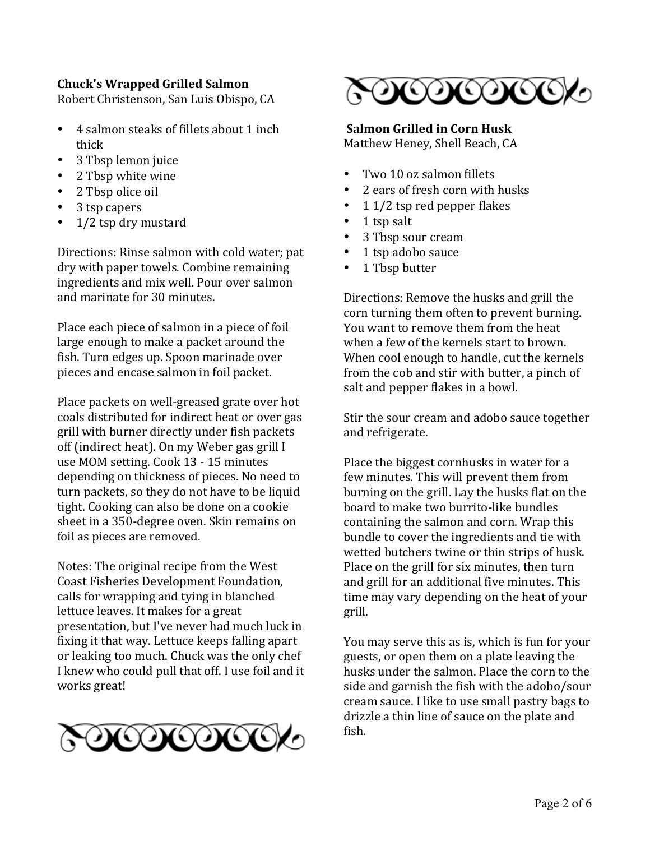# **Chuck's Wrapped Grilled Salmon**

Robert Christenson, San Luis Obispo, CA

- 4 salmon steaks of fillets about 1 inch thick
- 3 Tbsp lemon juice
- 2 Tbsp white wine
- 2 Tbsp olice oil
- 3 tsp capers
- 1/2 tsp dry mustard

Directions: Rinse salmon with cold water; pat dry with paper towels. Combine remaining ingredients and mix well. Pour over salmon and marinate for 30 minutes.

Place each piece of salmon in a piece of foil large enough to make a packet around the fish. Turn edges up. Spoon marinade over pieces and encase salmon in foil packet.

Place packets on well-greased grate over hot coals distributed for indirect heat or over gas grill with burner directly under fish packets off (indirect heat). On my Weber gas grill I use MOM setting. Cook 13 - 15 minutes depending on thickness of pieces. No need to turn packets, so they do not have to be liquid tight. Cooking can also be done on a cookie sheet in a 350-degree oven. Skin remains on foil as pieces are removed.

Notes: The original recipe from the West Coast Fisheries Development Foundation, calls for wrapping and tying in blanched lettuce leaves. It makes for a great presentation, but I've never had much luck in fixing it that way. Lettuce keeps falling apart or leaking too much. Chuck was the only chef I knew who could pull that off. I use foil and it works great!





### **Salmon Grilled in Corn Husk**

Matthew Heney, Shell Beach, CA

- Two 10 oz salmon fillets
- 2 ears of fresh corn with husks
- $11/2$  tsp red pepper flakes
- $\bullet$  1 tsp salt
- 3 Tbsp sour cream
- 1 tsp adobo sauce
- 1 Tbsp butter

Directions: Remove the husks and grill the corn turning them often to prevent burning. You want to remove them from the heat when a few of the kernels start to brown. When cool enough to handle, cut the kernels from the cob and stir with butter, a pinch of salt and pepper flakes in a bowl.

Stir the sour cream and adobo sauce together and refrigerate.

Place the biggest cornhusks in water for a few minutes. This will prevent them from burning on the grill. Lay the husks flat on the board to make two burrito-like bundles containing the salmon and corn. Wrap this bundle to cover the ingredients and tie with wetted butchers twine or thin strips of husk. Place on the grill for six minutes, then turn and grill for an additional five minutes. This time may vary depending on the heat of your grill.

You may serve this as is, which is fun for your guests, or open them on a plate leaving the husks under the salmon. Place the corn to the side and garnish the fish with the adobo/sour cream sauce. I like to use small pastry bags to drizzle a thin line of sauce on the plate and fish.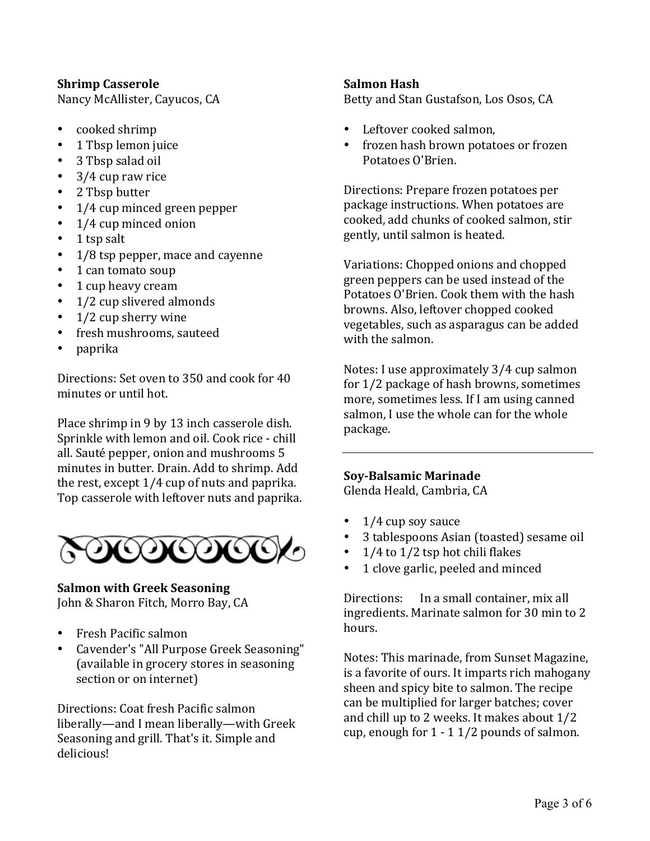### **Shrimp Casserole**

Nancy McAllister, Cayucos, CA

- cooked shrimp
- 1 Tbsp lemon juice
- 3 Tbsp salad oil
- $\bullet$  3/4 cup raw rice
- 2 Tbsp butter
- 1/4 cup minced green pepper
- 1/4 cup minced onion
- $\cdot$  1 tsp salt
- $1/8$  tsp pepper, mace and cayenne
- 1 can tomato soup
- 1 cup heavy cream
- $\cdot$  1/2 cup slivered almonds
- $1/2$  cup sherry wine
- fresh mushrooms, sauteed
- paprika

Directions: Set oven to 350 and cook for 40 minutes or until hot.

Place shrimp in 9 by 13 inch casserole dish. Sprinkle with lemon and oil. Cook rice - chill all. Sauté pepper, onion and mushrooms 5 minutes in butter. Drain. Add to shrimp. Add the rest, except  $1/4$  cup of nuts and paprika. Top casserole with leftover nuts and paprika.



#### **Salmon with Greek Seasoning** John & Sharon Fitch, Morro Bay, CA

- Fresh Pacific salmon
- Cavender's "All Purpose Greek Seasoning" (available in grocery stores in seasoning section or on internet)

Directions: Coat fresh Pacific salmon liberally—and I mean liberally—with Greek Seasoning and grill. That's it. Simple and delicious!

#### **Salmon Hash**

Betty and Stan Gustafson, Los Osos, CA

- Leftover cooked salmon,
- frozen hash brown potatoes or frozen Potatoes O'Brien.

Directions: Prepare frozen potatoes per package instructions. When potatoes are cooked, add chunks of cooked salmon, stir gently, until salmon is heated.

Variations: Chopped onions and chopped green peppers can be used instead of the Potatoes O'Brien. Cook them with the hash browns. Also, leftover chopped cooked vegetables, such as asparagus can be added with the salmon.

Notes: I use approximately 3/4 cup salmon for  $1/2$  package of hash browns, sometimes more, sometimes less. If I am using canned salmon, I use the whole can for the whole package.

#### **Soy-Balsamic Marinade**

Glenda Heald, Cambria, CA

- $1/4$  cup soy sauce
- 3 tablespoons Asian (toasted) sesame oil
- $1/4$  to  $1/2$  tsp hot chili flakes
- 1 clove garlic, peeled and minced

Directions: In a small container, mix all ingredients. Marinate salmon for 30 min to 2 hours.

Notes: This marinade, from Sunset Magazine, is a favorite of ours. It imparts rich mahogany sheen and spicy bite to salmon. The recipe can be multiplied for larger batches; cover and chill up to 2 weeks. It makes about  $1/2$ cup, enough for  $1 - 11/2$  pounds of salmon.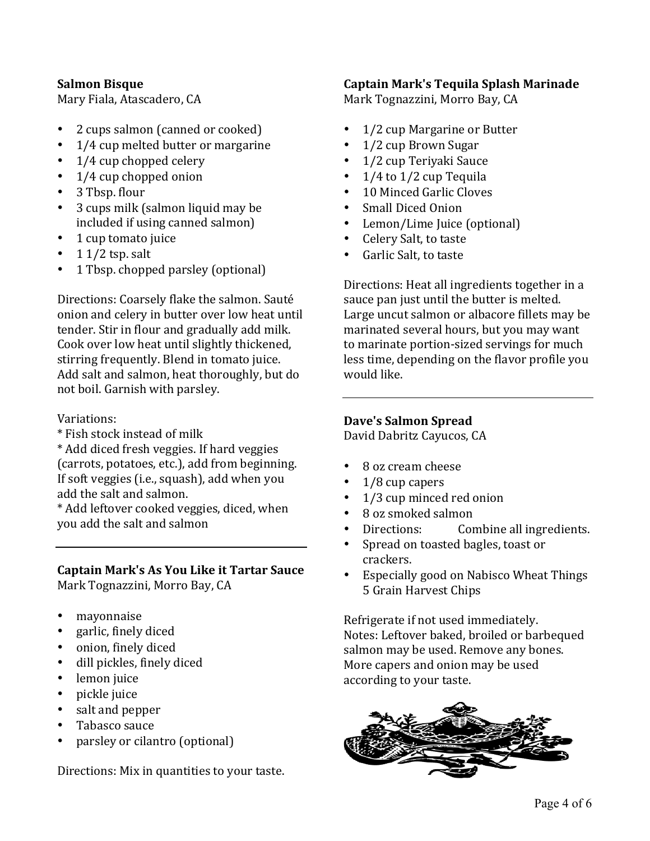#### **Salmon Bisque**

Mary Fiala, Atascadero, CA

- 2 cups salmon (canned or cooked)
- 1/4 cup melted butter or margarine
- $1/4$  cup chopped celery
- $\cdot$  1/4 cup chopped onion
- 3 Tbsp. flour
- 3 cups milk (salmon liquid may be included if using canned salmon)
- 1 cup tomato juice
- $11/2$  tsp. salt
- 1 Tbsp. chopped parsley (optional)

Directions: Coarsely flake the salmon. Sauté onion and celery in butter over low heat until tender. Stir in flour and gradually add milk. Cook over low heat until slightly thickened, stirring frequently. Blend in tomato juice. Add salt and salmon, heat thoroughly, but do not boil. Garnish with parsley.

# Variations:

\* Fish stock instead of milk

\* Add diced fresh veggies. If hard veggies (carrots, potatoes, etc.), add from beginning. If soft veggies (i.e., squash), add when you add the salt and salmon.

\* Add leftover cooked veggies, diced, when you add the salt and salmon

**Captain Mark's As You Like it Tartar Sauce** Mark Tognazzini, Morro Bay, CA

- mayonnaise
- garlic, finely diced
- onion, finely diced
- dill pickles, finely diced
- lemon juice
- pickle juice
- salt and pepper
- Tabasco sauce
- parsley or cilantro (optional)

Directions: Mix in quantities to your taste.

#### **Captain Mark's Tequila Splash Marinade**

Mark Tognazzini, Morro Bay, CA

- 1/2 cup Margarine or Butter
- 1/2 cup Brown Sugar
- 1/2 cup Teriyaki Sauce
- $1/4$  to  $1/2$  cup Tequila
- 10 Minced Garlic Cloves
- Small Diced Onion
- Lemon/Lime Juice (optional)
- Celery Salt, to taste
- Garlic Salt, to taste

Directions: Heat all ingredients together in a sauce pan just until the butter is melted. Large uncut salmon or albacore fillets may be marinated several hours, but you may want to marinate portion-sized servings for much less time, depending on the flavor profile you would like.

#### **Dave's Salmon Spread**

David Dabritz Cayucos, CA

- 8 oz cream cheese
- $1/8$  cup capers
- 1/3 cup minced red onion
- 8 oz smoked salmon
- Directions: Combine all ingredients.
- Spread on toasted bagles, toast or crackers.
- Especially good on Nabisco Wheat Things 5 Grain Harvest Chips

Refrigerate if not used immediately. Notes: Leftover baked, broiled or barbequed salmon may be used. Remove any bones. More capers and onion may be used according to your taste.

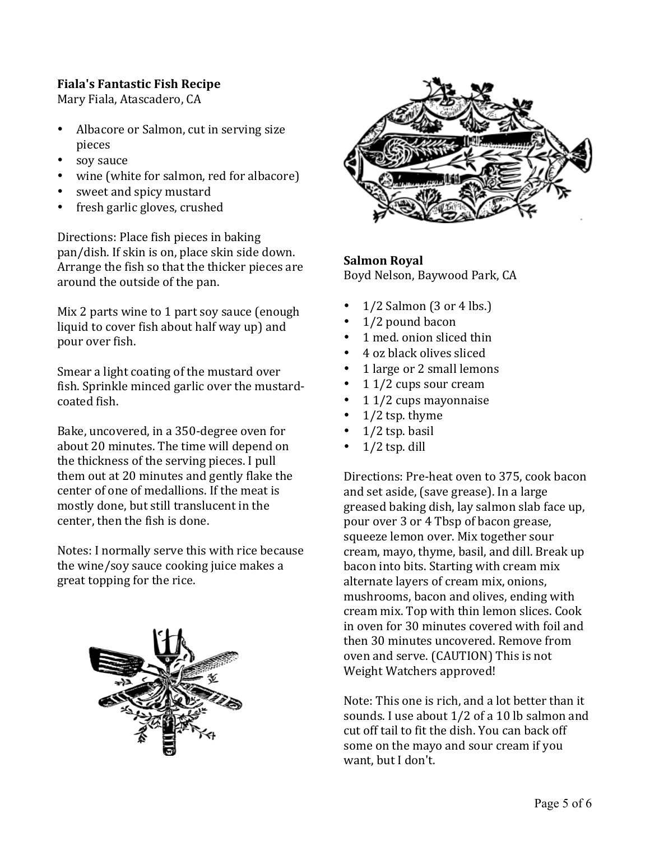# **Fiala's Fantastic Fish Recipe**

Mary Fiala, Atascadero, CA

- Albacore or Salmon, cut in serving size pieces
- soy sauce
- wine (white for salmon, red for albacore)
- sweet and spicy mustard
- fresh garlic gloves, crushed

Directions: Place fish pieces in baking pan/dish. If skin is on, place skin side down. Arrange the fish so that the thicker pieces are around the outside of the pan.

Mix 2 parts wine to 1 part soy sauce (enough liquid to cover fish about half way up) and pour over fish.

Smear a light coating of the mustard over fish. Sprinkle minced garlic over the mustardcoated fish.

Bake, uncovered, in a 350-degree oven for about 20 minutes. The time will depend on the thickness of the serving pieces. I pull them out at 20 minutes and gently flake the center of one of medallions. If the meat is mostly done, but still translucent in the center, then the fish is done.

Notes: I normally serve this with rice because the wine/soy sauce cooking juice makes a great topping for the rice.





# **Salmon Royal**

Boyd Nelson, Baywood Park, CA

- $1/2$  Salmon (3 or 4 lbs.)
- 1/2 pound bacon
- 1 med. onion sliced thin
- 4 oz black olives sliced
- 1 large or 2 small lemons
- 1  $1/2$  cups sour cream
- $11/2$  cups mayonnaise
- $1/2$  tsp. thyme
- $1/2$  tsp. basil
- $1/2$  tsp. dill

Directions: Pre-heat oven to 375, cook bacon and set aside, (save grease). In a large greased baking dish, lay salmon slab face up, pour over 3 or 4 Tbsp of bacon grease, squeeze lemon over. Mix together sour cream, mayo, thyme, basil, and dill. Break up bacon into bits. Starting with cream mix alternate layers of cream mix, onions, mushrooms, bacon and olives, ending with cream mix. Top with thin lemon slices. Cook in oven for 30 minutes covered with foil and then 30 minutes uncovered. Remove from oven and serve. (CAUTION) This is not Weight Watchers approved!

Note: This one is rich, and a lot better than it sounds. I use about  $1/2$  of a 10 lb salmon and cut off tail to fit the dish. You can back off some on the mayo and sour cream if you want, but I don't.